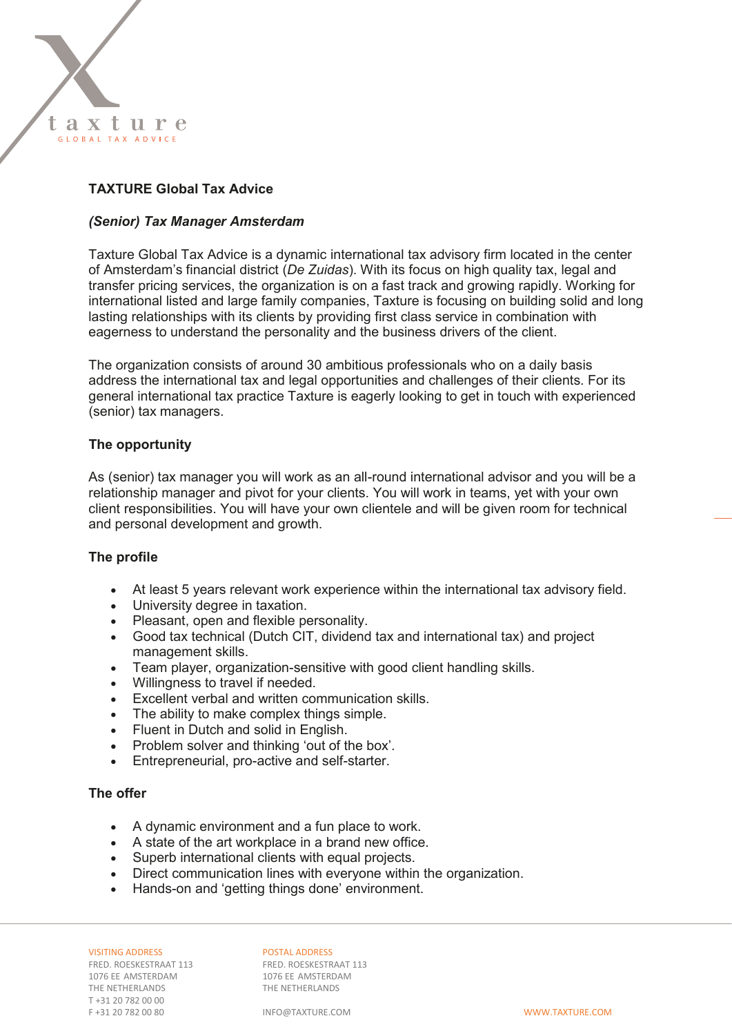

## **TAXTURE Global Tax Advice**

#### *(Senior) Tax Manager Amsterdam*

Taxture Global Tax Advice is a dynamic international tax advisory firm located in the center of Amsterdam's financial district (*De Zuidas*). With its focus on high quality tax, legal and transfer pricing services, the organization is on a fast track and growing rapidly. Working for international listed and large family companies, Taxture is focusing on building solid and long lasting relationships with its clients by providing first class service in combination with eagerness to understand the personality and the business drivers of the client.

The organization consists of around 30 ambitious professionals who on a daily basis address the international tax and legal opportunities and challenges of their clients. For its general international tax practice Taxture is eagerly looking to get in touch with experienced (senior) tax managers.

#### **The opportunity**

As (senior) tax manager you will work as an all-round international advisor and you will be a relationship manager and pivot for your clients. You will work in teams, yet with your own client responsibilities. You will have your own clientele and will be given room for technical and personal development and growth.

#### **The profile**

- At least 5 years relevant work experience within the international tax advisory field.
- University degree in taxation.
- Pleasant, open and flexible personality.
- Good tax technical (Dutch CIT, dividend tax and international tax) and project management skills.
- Team player, organization-sensitive with good client handling skills.
- Willingness to travel if needed.
- Excellent verbal and written communication skills.
- The ability to make complex things simple.
- Fluent in Dutch and solid in English.
- Problem solver and thinking 'out of the box'.
- Entrepreneurial, pro-active and self-starter.

### **The offer**

- A dynamic environment and a fun place to work.
- A state of the art workplace in a brand new office.
- Superb international clients with equal projects.
- Direct communication lines with everyone within the organization.
- Hands-on and 'getting things done' environment.

1076 EE AMSTERDAM 1076 EE AMSTERDAM 1076 EE AMSTERDAM THE NETHERLANDS THE NETHERLANDS T +31 20 782 00 00 F +31 20 782 00 80 INFO@TAXTURE.COM WWW.TAXTURE.COM

VISITING ADDRESS<br>
FRED. ROESKESTRAAT 113<br>
FRED. ROESKESTRAAT 113 FRED. ROESKESTRAAT 113